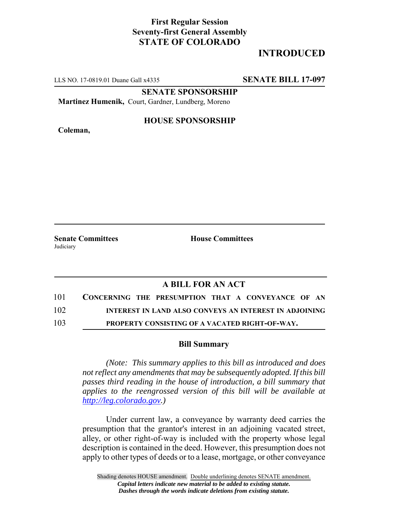## **First Regular Session Seventy-first General Assembly STATE OF COLORADO**

# **INTRODUCED**

LLS NO. 17-0819.01 Duane Gall x4335 **SENATE BILL 17-097**

**SENATE SPONSORSHIP**

**Martinez Humenik,** Court, Gardner, Lundberg, Moreno

**Coleman,**

#### **HOUSE SPONSORSHIP**

**Senate Committees House Committees Judiciary** 

### **A BILL FOR AN ACT**

| 101 | CONCERNING THE PRESUMPTION THAT A CONVEYANCE OF AN     |  |  |  |  |  |
|-----|--------------------------------------------------------|--|--|--|--|--|
| 102 | INTEREST IN LAND ALSO CONVEYS AN INTEREST IN ADJOINING |  |  |  |  |  |

103 **PROPERTY CONSISTING OF A VACATED RIGHT-OF-WAY.**

#### **Bill Summary**

*(Note: This summary applies to this bill as introduced and does not reflect any amendments that may be subsequently adopted. If this bill passes third reading in the house of introduction, a bill summary that applies to the reengrossed version of this bill will be available at http://leg.colorado.gov.)*

Under current law, a conveyance by warranty deed carries the presumption that the grantor's interest in an adjoining vacated street, alley, or other right-of-way is included with the property whose legal description is contained in the deed. However, this presumption does not apply to other types of deeds or to a lease, mortgage, or other conveyance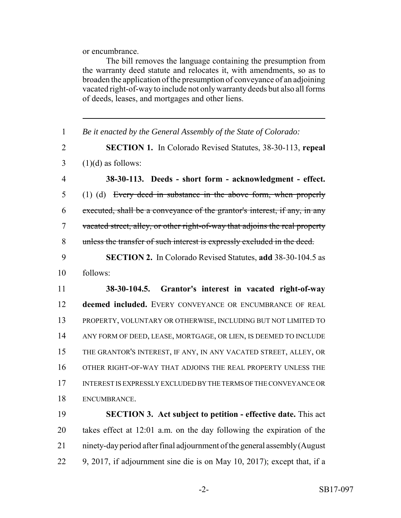or encumbrance.

The bill removes the language containing the presumption from the warranty deed statute and relocates it, with amendments, so as to broaden the application of the presumption of conveyance of an adjoining vacated right-of-way to include not only warranty deeds but also all forms of deeds, leases, and mortgages and other liens. *Be it enacted by the General Assembly of the State of Colorado:* **SECTION 1.** In Colorado Revised Statutes, 38-30-113, **repeal**  $3 \quad (1)(d)$  as follows: **38-30-113. Deeds - short form - acknowledgment - effect.** (1) (d) Every deed in substance in the above form, when properly executed, shall be a conveyance of the grantor's interest, if any, in any vacated street, alley, or other right-of-way that adjoins the real property unless the transfer of such interest is expressly excluded in the deed. **SECTION 2.** In Colorado Revised Statutes, **add** 38-30-104.5 as follows: **38-30-104.5. Grantor's interest in vacated right-of-way deemed included.** EVERY CONVEYANCE OR ENCUMBRANCE OF REAL PROPERTY, VOLUNTARY OR OTHERWISE, INCLUDING BUT NOT LIMITED TO ANY FORM OF DEED, LEASE, MORTGAGE, OR LIEN, IS DEEMED TO INCLUDE THE GRANTOR'S INTEREST, IF ANY, IN ANY VACATED STREET, ALLEY, OR OTHER RIGHT-OF-WAY THAT ADJOINS THE REAL PROPERTY UNLESS THE INTEREST IS EXPRESSLY EXCLUDED BY THE TERMS OF THE CONVEYANCE OR ENCUMBRANCE. **SECTION 3. Act subject to petition - effective date.** This act takes effect at 12:01 a.m. on the day following the expiration of the

- ninety-day period after final adjournment of the general assembly (August
- 9, 2017, if adjournment sine die is on May 10, 2017); except that, if a